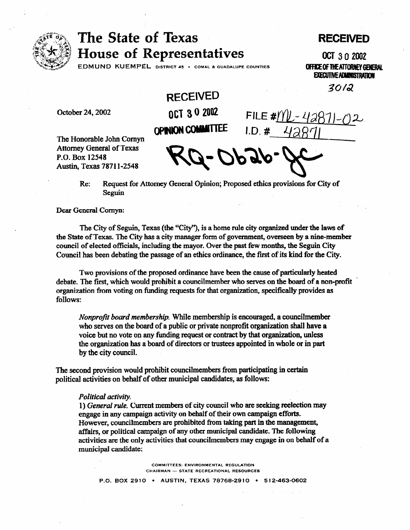

## The State of Texas **House of Representatives**

## RECEIVED

3012

OCT 3 0 2002 EDMUND KUEMPEL DISTRICT 45 · COMAL & GUADALUPE COUNTIES **OFFICE OF THE ATTORNEY GENERAL EXECUTIVE ADMINISTRATION** 

FILE  $\#$ MU-42

October 24,2002

**RECEIVED**  OCT 30 2002 **OPINION COMMITTEE I.D. #** 

The Honorable John Cornyn Attorney General of Texas P.O. Box 12548 Austin, Texas 7871 l-2548

Re: Request for Attorney General Opinion; Proposed ethics provisions for City of Seguin

Dear General Comyn:

The City of Seguin, Texas (the "City"), is a home rule city organized under the laws of the State of Texas. The City has a city manager form of government, overseen by a nine-member council of elected officials, including the mayor. Over the past few months, the Seguin City Council has been debating the passage of an ethics ordinance, the first of its kind for the City.

Two provisions of the proposed ordinance have been the cause of particularly heated debate. The first, which would prohibit a councilmember who serves on the board of a non-profit ' organization from voting on funding requests for that organization, specifically provides as follows:

*Nonprofit board membership. While* membership is encouraged, a councilmember who serves on the board of a public or private nonprofit organization shall have a voice but no vote on any funding request or contract by that organization, unless the organization has a board of directors or trustees appomted in whole or in part by the city council.

The second provision would prohibit councilmembers from participating in certain political activities on behalf of other municipal candidates, as follows:

## *Political acrtivity.*

1) *General rule.* Current members of city council who are seeking reelection may engage in any campaign activity on behalf of their own campaign efforts. However, councilmembers are prohibited from taking part in the management, affairs, or political campaign of any other municipal candidate. The following activities are the only activities that councilmembers may engage in on behalf of a municipal candidate:

> COMMITTEES: ENVIRONMENTAL REGULATION CHAIRMAN - STATE RECREATIONAL RESOURCES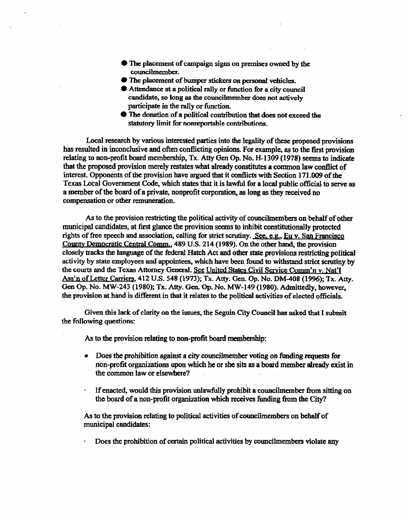- 0 The placement of campaign signs on premises owned by the councilmember.
- **The placement of bumper stickers on personal vehicles.**
- $\bullet$  Attendance at a political rally or function for a city council candidate, so long as the councilmember does not actively **participate in the rally** or function.
- l The donation of **a political** contriion that does not exceed the statutory limit for nonreportable contributions.

Local research by various interested parties **into the legality of these proposed** provisions has resulted in inconclusive and often conflicting opinions. For example, as to the first provision relating to non-profit board membership, Tx. Atty Gen Op. No. H-1309 (1978) seems to indicate that the proposed provision merely restates what already constitutes a common law conflict of interest. Opponents of the provision have argued that it conflicts with Section 171.009 of the interest. Opponents of the provision have argued that it conflicts with Section 171.009 of the Texas Local Government Code, which states that it is lawful: for a local public official to serve as a member of the board **of** a **private,** nonprofit corporation, as long as they received no compensation or other remuneration.

As to the provision restricting the political activity of councilmembers on behalf of other municipal candidates, at first glance the provision seems to inhibit constitutionally protected rights of free speech and association, calling for strict scrutiny. See, e.g., Eu v. San Francisco County Democratic Central Comm., 489 U.S. 214 (1989). On the other hand, the provision closely tracks the language of the federal Hatch Act and other state provisions restricting political activity by state employees and appointees, which have been found to withstand strict scrutiny by the courts and the Texas Attorney General, See United States Civil Service Comm'n v. Nat'l Ass'n of Letter Carriers, 412 U.S. 548 (1973); Tx. Atty. Gen. Op. No. DM-408 (1996); Tx. Atty. Gen Op. No. MW-243 (1980); Tx. Atty. Gen. Op. No. MW-149 (1980). Admittedly, however.  $G_{\text{eff}}$  operators in the  $G_{\text{eff}}$  constant operators in the political activities of elected officials the provision at hand is different in that it relates to the political activities of elected officials.

Given this lack of clarity on the issues, the Seguin City Council has asked that I submit the following questions:  $\mathbf{t}$  the following  $\mathbf{t}$ 

As to the provision relating to non-profit board membership: As to the provision relating to non-profit board me@ers&p:

- Does the prohibition against a city councilmember voting on funding requests for hon-profit organizations upon which he or she sits as a board member already exist in the common law or elsewhere?
- If enacted, would this provision unlawfully prohibit a councilmember from sitting on the board of a non-profit organization which receives funding from the City?

As to the provision relating to political activities of councilmembers on behalf of **As to the** provision **relating to** political **activities of couqcilmembers** on **behalf** of

Does the prohibition of certain political activities by councilmembers violate any